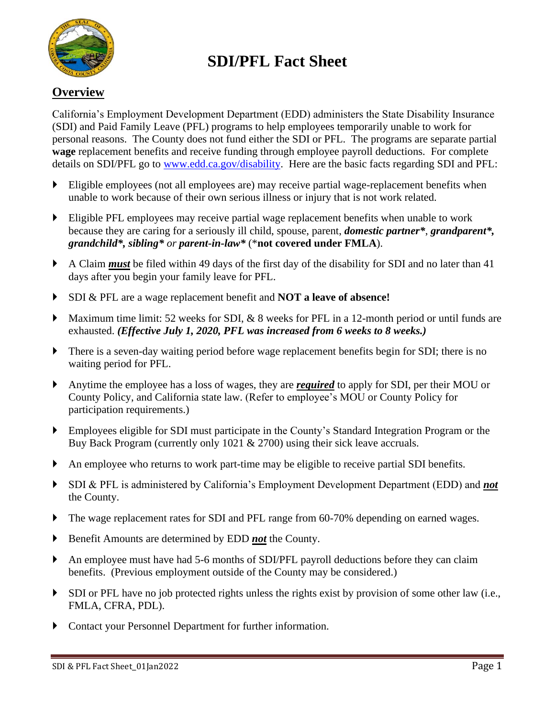

## **SDI/PFL Fact Sheet**

## **Overview**

California's Employment Development Department (EDD) administers the State Disability Insurance (SDI) and Paid Family Leave (PFL) programs to help employees temporarily unable to work for personal reasons. The County does not fund either the SDI or PFL. The programs are separate partial **wage** replacement benefits and receive funding through employee payroll deductions. For complete details on SDI/PFL go to www.edd.ca.gov/disability. Here are the basic facts regarding SDI and PFL:

- Eligible employees (not all employees are) may receive partial wage-replacement benefits when unable to work because of their own serious illness or injury that is not work related.
- Eligible PFL employees may receive partial wage replacement benefits when unable to work because they are caring for a seriously ill child, spouse, parent, *domestic partner\**, *grandparent\*, grandchild\*, sibling\* or parent-in-law\** (\***not covered under FMLA**).
- A Claim *must* be filed within 49 days of the first day of the disability for SDI and no later than 41 days after you begin your family leave for PFL.
- SDI & PFL are a wage replacement benefit and **NOT a leave of absence!**
- Maximum time limit: 52 weeks for SDI, & 8 weeks for PFL in a 12-month period or until funds are exhausted. *(Effective July 1, 2020, PFL was increased from 6 weeks to 8 weeks.)*
- There is a seven-day waiting period before wage replacement benefits begin for SDI; there is no waiting period for PFL.
- Anytime the employee has a loss of wages, they are *required* to apply for SDI, per their MOU or County Policy, and California state law. (Refer to employee's MOU or County Policy for participation requirements.)
- Employees eligible for SDI must participate in the County's Standard Integration Program or the Buy Back Program (currently only 1021 & 2700) using their sick leave accruals.
- An employee who returns to work part-time may be eligible to receive partial SDI benefits.
- SDI & PFL is administered by California's Employment Development Department (EDD) and *not* the County.
- The wage replacement rates for SDI and PFL range from 60-70% depending on earned wages.
- Benefit Amounts are determined by EDD *not* the County.
- An employee must have had 5-6 months of SDI/PFL payroll deductions before they can claim benefits. (Previous employment outside of the County may be considered.)
- SDI or PFL have no job protected rights unless the rights exist by provision of some other law (i.e., FMLA, CFRA, PDL).
- Contact your Personnel Department for further information.